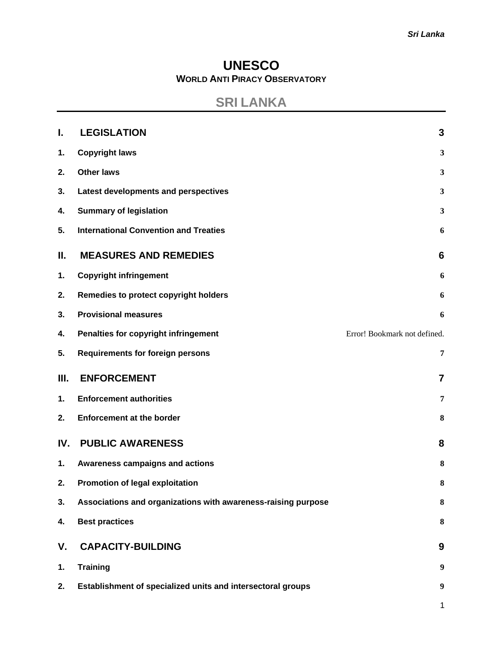## **UNESCO WORLD ANTI PIRACY OBSERVATORY**

# **SRI LANKA**

| L.  | <b>LEGISLATION</b>                                            | 3                            |
|-----|---------------------------------------------------------------|------------------------------|
| 1.  | <b>Copyright laws</b>                                         | 3                            |
| 2.  | <b>Other laws</b>                                             | 3                            |
| 3.  | Latest developments and perspectives                          | 3                            |
| 4.  | <b>Summary of legislation</b>                                 | 3                            |
| 5.  | <b>International Convention and Treaties</b>                  | 6                            |
| Ш.  | <b>MEASURES AND REMEDIES</b>                                  | 6                            |
| 1.  | <b>Copyright infringement</b>                                 | 6                            |
| 2.  | Remedies to protect copyright holders                         | 6                            |
| 3.  | <b>Provisional measures</b>                                   | 6                            |
| 4.  | Penalties for copyright infringement                          | Error! Bookmark not defined. |
| 5.  | <b>Requirements for foreign persons</b>                       | 7                            |
| Ш.  | <b>ENFORCEMENT</b>                                            | $\overline{7}$               |
| 1.  | <b>Enforcement authorities</b>                                | 7                            |
| 2.  | <b>Enforcement at the border</b>                              | 8                            |
| IV. | <b>PUBLIC AWARENESS</b>                                       | 8                            |
| 1.  | Awareness campaigns and actions                               | 8                            |
| 2.  | <b>Promotion of legal exploitation</b>                        | 8                            |
| 3.  | Associations and organizations with awareness-raising purpose | 8                            |
| 4.  | <b>Best practices</b>                                         | 8                            |
| V.  | <b>CAPACITY-BUILDING</b>                                      | 9                            |
| 1.  | <b>Training</b>                                               | 9                            |
| 2.  | Establishment of specialized units and intersectoral groups   | $\boldsymbol{9}$             |
|     |                                                               | $\mathbf{1}$                 |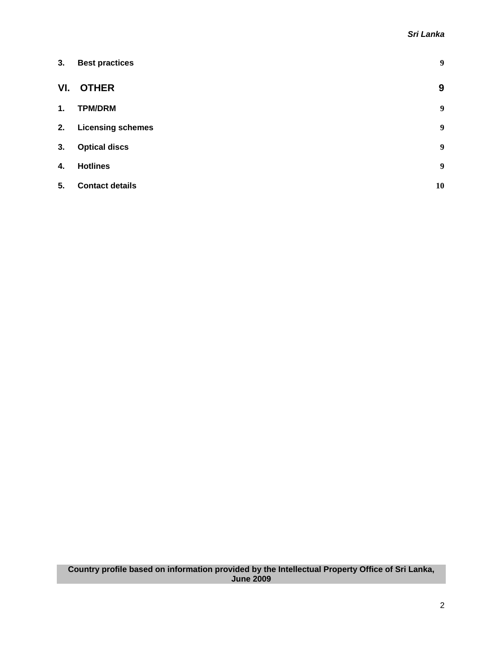| 3.  | <b>Best practices</b>    | 9  |
|-----|--------------------------|----|
| VI. | <b>OTHER</b>             | 9  |
| 1.  | <b>TPM/DRM</b>           | 9  |
| 2.  | <b>Licensing schemes</b> | 9  |
| 3.  | <b>Optical discs</b>     | 9  |
| 4.  | <b>Hotlines</b>          | 9  |
| 5.  | <b>Contact details</b>   | 10 |

#### **Country profile based on information provided by the Intellectual Property Office of Sri Lanka, June 2009**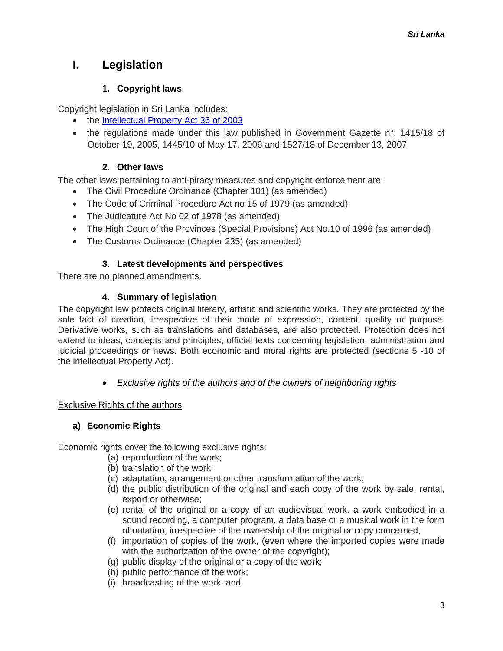# <span id="page-2-0"></span>**I. Legislation**

## **1. Copyright laws**

Copyright legislation in Sri Lanka includes:

- the [Intellectual Property Act 36 of 2003](http://www.nipo.gov.lk/act.htm)
- the regulations made under this law published in Government Gazette n°: 1415/18 of October 19, 2005, 1445/10 of May 17, 2006 and 1527/18 of December 13, 2007.

## **2. Other laws**

The other laws pertaining to anti-piracy measures and copyright enforcement are:

- The Civil Procedure Ordinance (Chapter 101) (as amended)
- The Code of Criminal Procedure Act no 15 of 1979 (as amended)
- The Judicature Act No 02 of 1978 (as amended)
- The High Court of the Provinces (Special Provisions) Act No.10 of 1996 (as amended)
- The Customs Ordinance (Chapter 235) (as amended)

## **3. Latest developments and perspectives**

There are no planned amendments.

## **4. Summary of legislation**

The copyright law protects original literary, artistic and scientific works. They are protected by the sole fact of creation, irrespective of their mode of expression, content, quality or purpose. Derivative works, such as translations and databases, are also protected. Protection does not extend to ideas, concepts and principles, official texts concerning legislation, administration and judicial proceedings or news. Both economic and moral rights are protected (sections 5 -10 of the intellectual Property Act).

• *Exclusive rights of the authors and of the owners of neighboring rights* 

## Exclusive Rights of the authors

## **a) Economic Rights**

Economic rights cover the following exclusive rights:

- (a) reproduction of the work;
- (b) translation of the work;
- (c) adaptation, arrangement or other transformation of the work;
- (d) the public distribution of the original and each copy of the work by sale, rental, export or otherwise;
- (e) rental of the original or a copy of an audiovisual work, a work embodied in a sound recording, a computer program, a data base or a musical work in the form of notation, irrespective of the ownership of the original or copy concerned;
- (f) importation of copies of the work, (even where the imported copies were made with the authorization of the owner of the copyright);
- (g) public display of the original or a copy of the work;
- (h) public performance of the work;
- (i) broadcasting of the work; and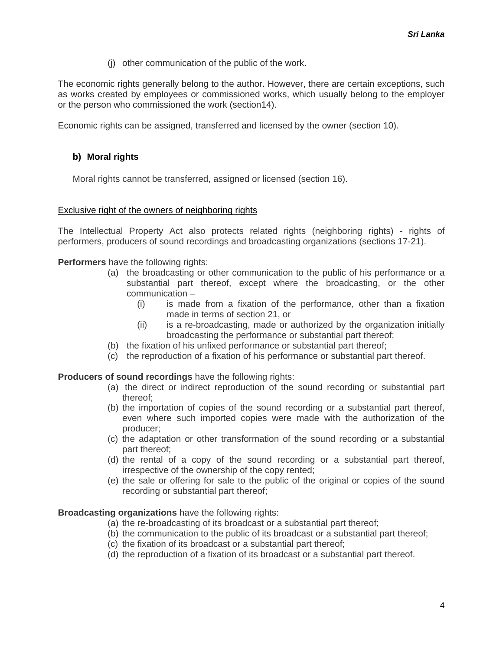(j) other communication of the public of the work.

The economic rights generally belong to the author. However, there are certain exceptions, such as works created by employees or commissioned works, which usually belong to the employer or the person who commissioned the work (section14).

Economic rights can be assigned, transferred and licensed by the owner (section 10).

#### **b) Moral rights**

Moral rights cannot be transferred, assigned or licensed (section 16).

#### Exclusive right of the owners of neighboring rights

The Intellectual Property Act also protects related rights (neighboring rights) - rights of performers, producers of sound recordings and broadcasting organizations (sections 17-21).

**Performers** have the following rights:

- (a) the broadcasting or other communication to the public of his performance or a substantial part thereof, except where the broadcasting, or the other communication –
	- (i) is made from a fixation of the performance, other than a fixation made in terms of section 21, or
	- (ii) is a re-broadcasting, made or authorized by the organization initially broadcasting the performance or substantial part thereof;
- (b) the fixation of his unfixed performance or substantial part thereof;
- (c) the reproduction of a fixation of his performance or substantial part thereof.

**Producers of sound recordings** have the following rights:

- (a) the direct or indirect reproduction of the sound recording or substantial part thereof;
- (b) the importation of copies of the sound recording or a substantial part thereof, even where such imported copies were made with the authorization of the producer;
- (c) the adaptation or other transformation of the sound recording or a substantial part thereof;
- (d) the rental of a copy of the sound recording or a substantial part thereof, irrespective of the ownership of the copy rented;
- (e) the sale or offering for sale to the public of the original or copies of the sound recording or substantial part thereof;

#### **Broadcasting organizations** have the following rights:

- (a) the re-broadcasting of its broadcast or a substantial part thereof;
- (b) the communication to the public of its broadcast or a substantial part thereof;
- (c) the fixation of its broadcast or a substantial part thereof;
- (d) the reproduction of a fixation of its broadcast or a substantial part thereof.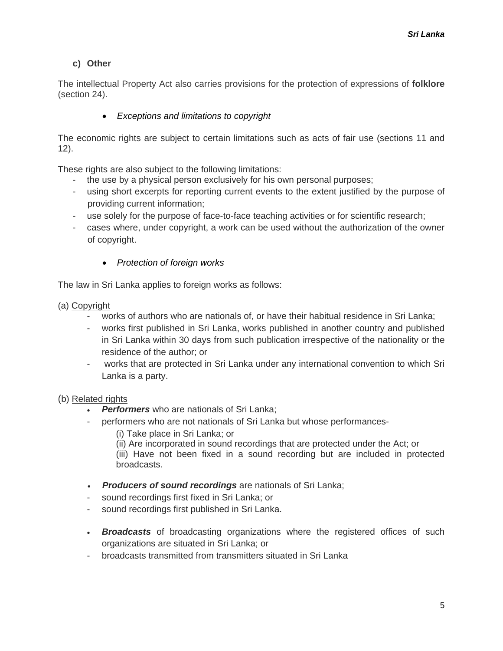## **c) Other**

The intellectual Property Act also carries provisions for the protection of expressions of **folklore** (section 24).

### • *Exceptions and limitations to copyright*

The economic rights are subject to certain limitations such as acts of fair use (sections 11 and 12).

These rights are also subject to the following limitations:

- the use by a physical person exclusively for his own personal purposes;
- using short excerpts for reporting current events to the extent justified by the purpose of providing current information;
- use solely for the purpose of face-to-face teaching activities or for scientific research;
- cases where, under copyright, a work can be used without the authorization of the owner of copyright.
	- *Protection of foreign works*

The law in Sri Lanka applies to foreign works as follows:

- (a) Copyright
	- works of authors who are nationals of, or have their habitual residence in Sri Lanka;
	- works first published in Sri Lanka, works published in another country and published in Sri Lanka within 30 days from such publication irrespective of the nationality or the residence of the author; or
	- works that are protected in Sri Lanka under any international convention to which Sri Lanka is a party.

#### (b) Related rights

- **Performers** who are nationals of Sri Lanka;
- performers who are not nationals of Sri Lanka but whose performances-
	- (i) Take place in Sri Lanka; or
	- (ii) Are incorporated in sound recordings that are protected under the Act; or

(iii) Have not been fixed in a sound recording but are included in protected broadcasts.

- *Producers of sound recordings* are nationals of Sri Lanka;
- sound recordings first fixed in Sri Lanka; or
- sound recordings first published in Sri Lanka.
- *Broadcasts* of broadcasting organizations where the registered offices of such organizations are situated in Sri Lanka; or
- broadcasts transmitted from transmitters situated in Sri Lanka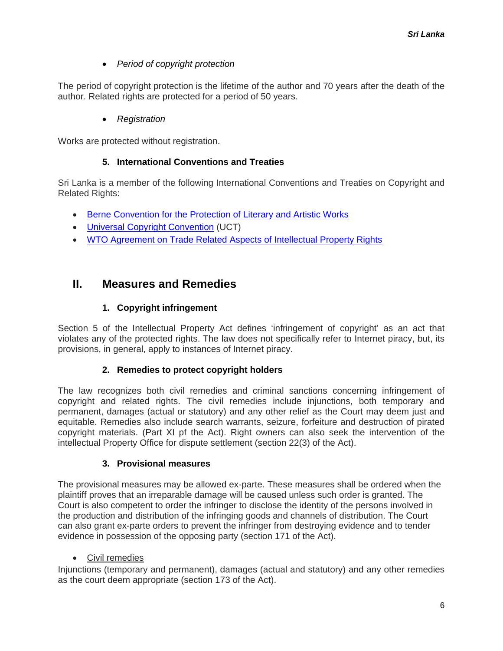• *Period of copyright protection* 

<span id="page-5-0"></span>The period of copyright protection is the lifetime of the author and 70 years after the death of the author. Related rights are protected for a period of 50 years.

• *Registration*

Works are protected without registration.

### **5. International Conventions and Treaties**

Sri Lanka is a member of the following International Conventions and Treaties on Copyright and Related Rights:

- Berne [Convention for the Protection of Literary and Artistic Works](http://www.wipo.int/treaties/en/ip/berne/trtdocs_wo001.html)
- Universal [Copyright Convention](http://portal.unesco.org/en/ev.php-URL_ID=15381&URL_DO=DO_TOPIC&URL_SECTION=201.html) (UCT)
- WTO [Agreement on Trade Related Aspects of Intellectual Property Rights](http://www.wto.org/english/docs_e/legal_e/27-trips.pdf)

## **II. Measures and Remedies**

## **1. Copyright infringement**

Section 5 of the Intellectual Property Act defines 'infringement of copyright' as an act that violates any of the protected rights. The law does not specifically refer to Internet piracy, but, its provisions, in general, apply to instances of Internet piracy.

#### **2. Remedies to protect copyright holders**

The law recognizes both civil remedies and criminal sanctions concerning infringement of copyright and related rights. The civil remedies include injunctions, both temporary and permanent, damages (actual or statutory) and any other relief as the Court may deem just and equitable. Remedies also include search warrants, seizure, forfeiture and destruction of pirated copyright materials. (Part XI pf the Act). Right owners can also seek the intervention of the intellectual Property Office for dispute settlement (section 22(3) of the Act).

#### **3. Provisional measures**

The provisional measures may be allowed ex-parte. These measures shall be ordered when the plaintiff proves that an irreparable damage will be caused unless such order is granted. The Court is also competent to order the infringer to disclose the identity of the persons involved in the production and distribution of the infringing goods and channels of distribution. The Court can also grant ex-parte orders to prevent the infringer from destroying evidence and to tender evidence in possession of the opposing party (section 171 of the Act).

## • Civil remedies

Injunctions (temporary and permanent), damages (actual and statutory) and any other remedies as the court deem appropriate (section 173 of the Act).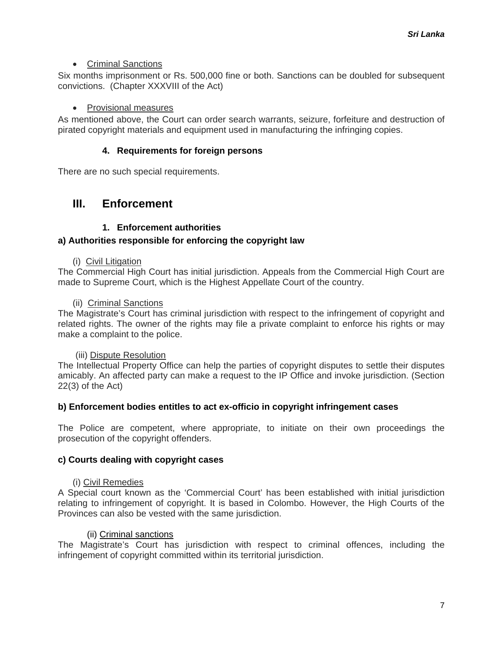#### • Criminal Sanctions

<span id="page-6-0"></span>Six months imprisonment or Rs. 500,000 fine or both. Sanctions can be doubled for subsequent convictions. (Chapter XXXVIII of the Act)

#### • Provisional measures

As mentioned above, the Court can order search warrants, seizure, forfeiture and destruction of pirated copyright materials and equipment used in manufacturing the infringing copies.

#### **4. Requirements for foreign persons**

There are no such special requirements.

## **III. Enforcement**

#### **1. Enforcement authorities**

#### **a) Authorities responsible for enforcing the copyright law**

#### (i) Civil Litigation

The Commercial High Court has initial jurisdiction. Appeals from the Commercial High Court are made to Supreme Court, which is the Highest Appellate Court of the country.

#### (ii) Criminal Sanctions

The Magistrate's Court has criminal jurisdiction with respect to the infringement of copyright and related rights. The owner of the rights may file a private complaint to enforce his rights or may make a complaint to the police.

#### (iii) Dispute Resolution

The Intellectual Property Office can help the parties of copyright disputes to settle their disputes amicably. An affected party can make a request to the IP Office and invoke jurisdiction. (Section 22(3) of the Act)

#### **b) Enforcement bodies entitles to act ex-officio in copyright infringement cases**

The Police are competent, where appropriate, to initiate on their own proceedings the prosecution of the copyright offenders.

#### **c) Courts dealing with copyright cases**

#### (i) Civil Remedies

A Special court known as the 'Commercial Court' has been established with initial jurisdiction relating to infringement of copyright. It is based in Colombo. However, the High Courts of the Provinces can also be vested with the same jurisdiction.

#### (ii) Criminal sanctions

The Magistrate's Court has jurisdiction with respect to criminal offences, including the infringement of copyright committed within its territorial jurisdiction.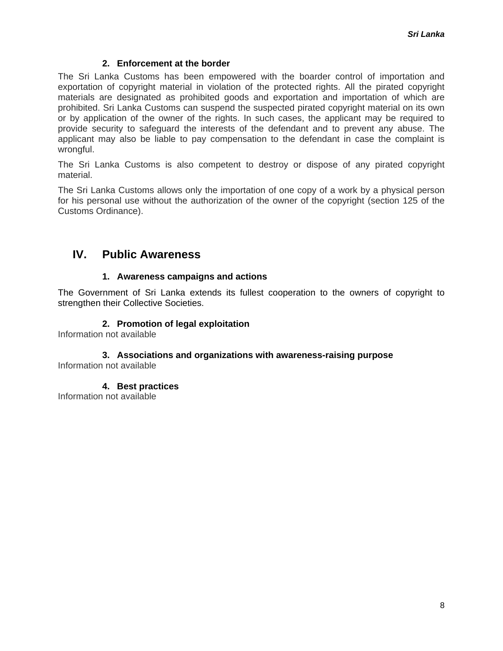#### **2. Enforcement at the border**

<span id="page-7-0"></span>The Sri Lanka Customs has been empowered with the boarder control of importation and exportation of copyright material in violation of the protected rights. All the pirated copyright materials are designated as prohibited goods and exportation and importation of which are prohibited. Sri Lanka Customs can suspend the suspected pirated copyright material on its own or by application of the owner of the rights. In such cases, the applicant may be required to provide security to safeguard the interests of the defendant and to prevent any abuse. The applicant may also be liable to pay compensation to the defendant in case the complaint is wrongful.

The Sri Lanka Customs is also competent to destroy or dispose of any pirated copyright material.

The Sri Lanka Customs allows only the importation of one copy of a work by a physical person for his personal use without the authorization of the owner of the copyright (section 125 of the Customs Ordinance).

## **IV. Public Awareness**

#### **1. Awareness campaigns and actions**

The Government of Sri Lanka extends its fullest cooperation to the owners of copyright to strengthen their Collective Societies.

#### **2. Promotion of legal exploitation**

Information not available

## **3. Associations and organizations with awareness-raising purpose**

Information not available

**4. Best practices** 

Information not available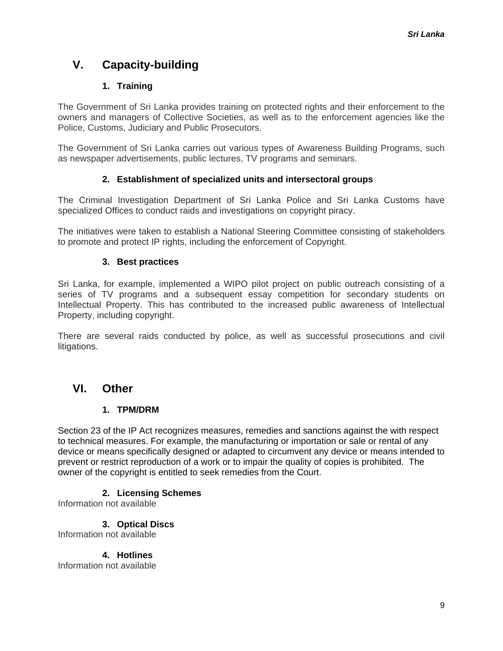# <span id="page-8-0"></span>**V. Capacity-building**

## **1. Training**

The Government of Sri Lanka provides training on protected rights and their enforcement to the owners and managers of Collective Societies, as well as to the enforcement agencies like the Police, Customs, Judiciary and Public Prosecutors.

The Government of Sri Lanka carries out various types of Awareness Building Programs, such as newspaper advertisements, public lectures, TV programs and seminars.

## **2. Establishment of specialized units and intersectoral groups**

The Criminal Investigation Department of Sri Lanka Police and Sri Lanka Customs have specialized Offices to conduct raids and investigations on copyright piracy.

The initiatives were taken to establish a National Steering Committee consisting of stakeholders to promote and protect IP rights, including the enforcement of Copyright.

### **3. Best practices**

Sri Lanka, for example, implemented a WIPO pilot project on public outreach consisting of a series of TV programs and a subsequent essay competition for secondary students on Intellectual Property. This has contributed to the increased public awareness of Intellectual Property, including copyright.

There are several raids conducted by police, as well as successful prosecutions and civil litigations.

## **VI. Other**

## **1. TPM/DRM**

Section 23 of the IP Act recognizes measures, remedies and sanctions against the with respect to technical measures. For example, the manufacturing or importation or sale or rental of any device or means specifically designed or adapted to circumvent any device or means intended to prevent or restrict reproduction of a work or to impair the quality of copies is prohibited. The owner of the copyright is entitled to seek remedies from the Court.

## **2. Licensing Schemes**

Information not available

**3. Optical Discs** 

Information not available

**4. Hotlines** 

Information not available